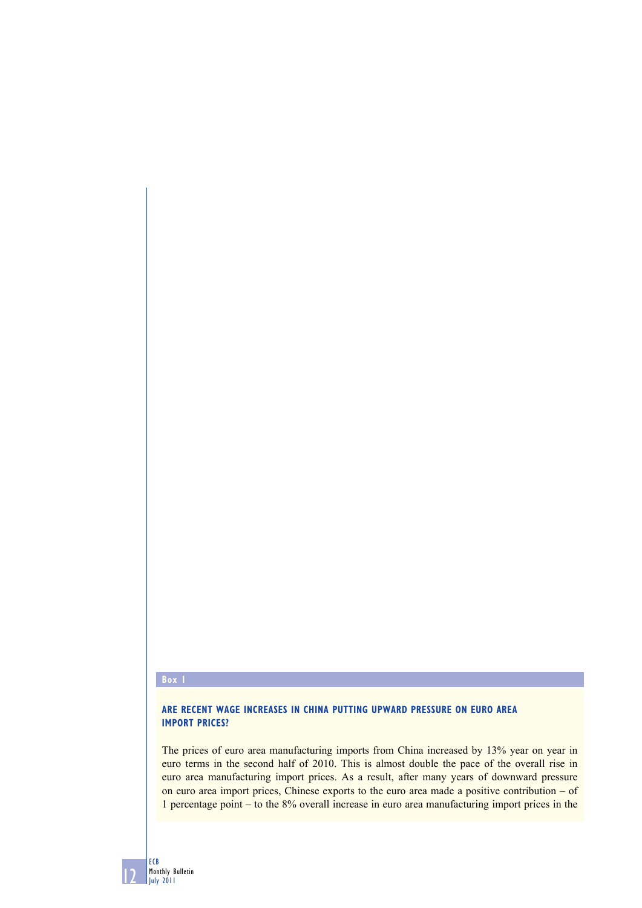## **Box 1**

12

ECB Monthly Bulletin July 2011

## **ARE RECENT WAGE INCREASES IN CHINA PUTTING UPWARD PRESSURE ON EURO AREA IMPORT PRICES?**

The prices of euro area manufacturing imports from China increased by 13% year on year in euro terms in the second half of 2010. This is almost double the pace of the overall rise in euro area manufacturing import prices. As a result, after many years of downward pressure on euro area import prices, Chinese exports to the euro area made a positive contribution – of 1 percentage point – to the 8% overall increase in euro area manufacturing import prices in the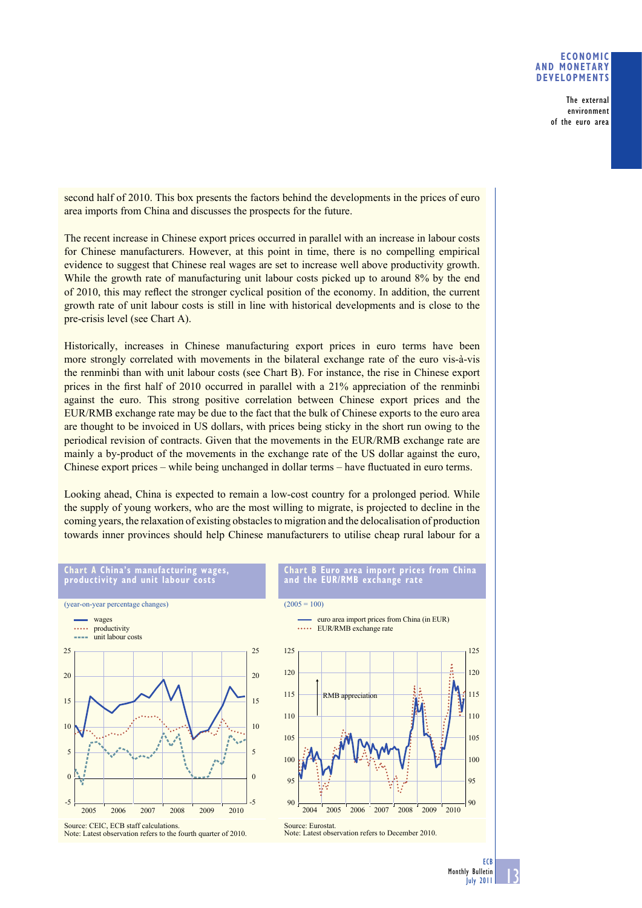## **ECONOMIC AND MONETARY DEVELOPMENTS**

The external environment of the euro area

second half of 2010. This box presents the factors behind the developments in the prices of euro area imports from China and discusses the prospects for the future.

The recent increase in Chinese export prices occurred in parallel with an increase in labour costs for Chinese manufacturers. However, at this point in time, there is no compelling empirical evidence to suggest that Chinese real wages are set to increase well above productivity growth. While the growth rate of manufacturing unit labour costs picked up to around 8% by the end of 2010, this may reflect the stronger cyclical position of the economy. In addition, the current growth rate of unit labour costs is still in line with historical developments and is close to the pre-crisis level (see Chart A).

Historically, increases in Chinese manufacturing export prices in euro terms have been more strongly correlated with movements in the bilateral exchange rate of the euro vis-à-vis the renminbi than with unit labour costs (see Chart B). For instance, the rise in Chinese export prices in the first half of  $2010$  occurred in parallel with a  $21\%$  appreciation of the renminbi against the euro. This strong positive correlation between Chinese export prices and the EUR/RMB exchange rate may be due to the fact that the bulk of Chinese exports to the euro area are thought to be invoiced in US dollars, with prices being sticky in the short run owing to the periodical revision of contracts. Given that the movements in the EUR/RMB exchange rate are mainly a by-product of the movements in the exchange rate of the US dollar against the euro, Chinese export prices – while being unchanged in dollar terms – have fluctuated in euro terms.

Looking ahead, China is expected to remain a low-cost country for a prolonged period. While the supply of young workers, who are the most willing to migrate, is projected to decline in the coming years, the relaxation of existing obstacles to migration and the delocalisation of production towards inner provinces should help Chinese manufacturers to utilise cheap rural labour for a



Note: Latest observation refers to the fourth quarter of 2010.